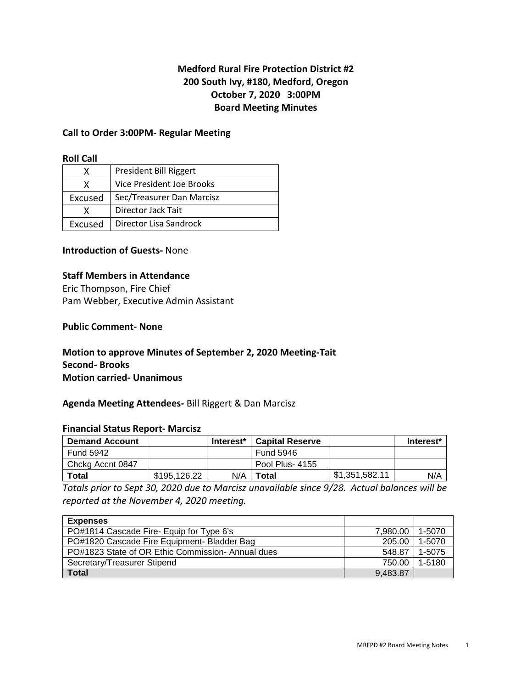# **Medford Rural Fire Protection District #2 200 South Ivy, #180, Medford, Oregon October 7, 2020 3:00PM Board Meeting Minutes**

#### **Call to Order 3:00PM- Regular Meeting**

## **Roll Call**

|         | President Bill Riggert    |
|---------|---------------------------|
|         | Vice President Joe Brooks |
| Excused | Sec/Treasurer Dan Marcisz |
|         | Director Jack Tait        |
| Excused | Director Lisa Sandrock    |

# **Introduction of Guests-** None

#### **Staff Members in Attendance**

Eric Thompson, Fire Chief Pam Webber, Executive Admin Assistant

## **Public Comment- None**

# **Motion to approve Minutes of September 2, 2020 Meeting-Tait Second- Brooks Motion carried- Unanimous**

# **Agenda Meeting Attendees-** Bill Riggert & Dan Marcisz

#### **Financial Status Report- Marcisz**

| <b>Demand Account</b> |              | Interest* | <b>Capital Reserve</b> |                | Interest* |
|-----------------------|--------------|-----------|------------------------|----------------|-----------|
| Fund 5942             |              |           | Fund 5946              |                |           |
| Chcka Accnt 0847      |              |           | Pool Plus-4155         |                |           |
| Total                 | \$195,126,22 | N/A       | Total                  | \$1,351,582.11 | N/A       |

*Totals prior to Sept 30, 2020 due to Marcisz unavailable since 9/28. Actual balances will be reported at the November 4, 2020 meeting.* 

| <b>Expenses</b>                                  |          |        |
|--------------------------------------------------|----------|--------|
| PO#1814 Cascade Fire- Equip for Type 6's         | 7.980.00 | 1-5070 |
| PO#1820 Cascade Fire Equipment- Bladder Bag      | 205.00   | 1-5070 |
| PO#1823 State of OR Ethic Commission-Annual dues | 548.87   | 1-5075 |
| Secretary/Treasurer Stipend                      | 750.00   | 1-5180 |
| <b>Total</b>                                     | 9.483.87 |        |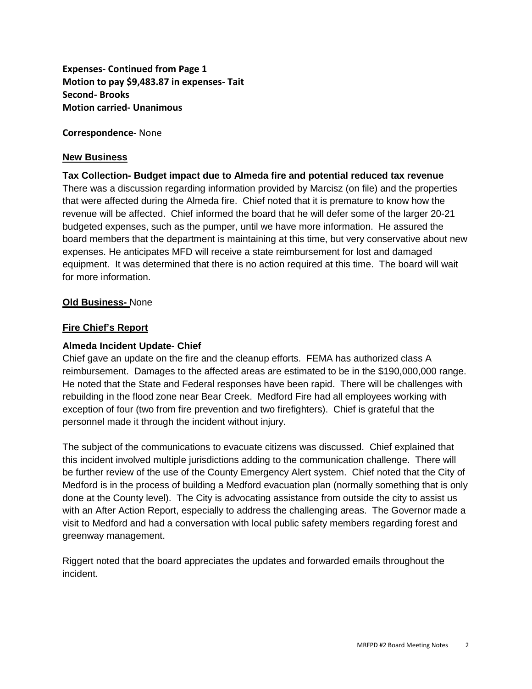**Expenses- Continued from Page 1 Motion to pay \$9,483.87 in expenses- Tait Second- Brooks Motion carried- Unanimous** 

**Correspondence-** None

## **New Business**

# **Tax Collection- Budget impact due to Almeda fire and potential reduced tax revenue**  There was a discussion regarding information provided by Marcisz (on file) and the properties that were affected during the Almeda fire. Chief noted that it is premature to know how the revenue will be affected. Chief informed the board that he will defer some of the larger 20-21 budgeted expenses, such as the pumper, until we have more information. He assured the board members that the department is maintaining at this time, but very conservative about new expenses. He anticipates MFD will receive a state reimbursement for lost and damaged equipment. It was determined that there is no action required at this time. The board will wait for more information.

# **Old Business-** None

#### **Fire Chief's Report**

## **Almeda Incident Update- Chief**

Chief gave an update on the fire and the cleanup efforts. FEMA has authorized class A reimbursement. Damages to the affected areas are estimated to be in the \$190,000,000 range. He noted that the State and Federal responses have been rapid. There will be challenges with rebuilding in the flood zone near Bear Creek. Medford Fire had all employees working with exception of four (two from fire prevention and two firefighters). Chief is grateful that the personnel made it through the incident without injury.

The subject of the communications to evacuate citizens was discussed. Chief explained that this incident involved multiple jurisdictions adding to the communication challenge. There will be further review of the use of the County Emergency Alert system. Chief noted that the City of Medford is in the process of building a Medford evacuation plan (normally something that is only done at the County level). The City is advocating assistance from outside the city to assist us with an After Action Report, especially to address the challenging areas. The Governor made a visit to Medford and had a conversation with local public safety members regarding forest and greenway management.

Riggert noted that the board appreciates the updates and forwarded emails throughout the incident.